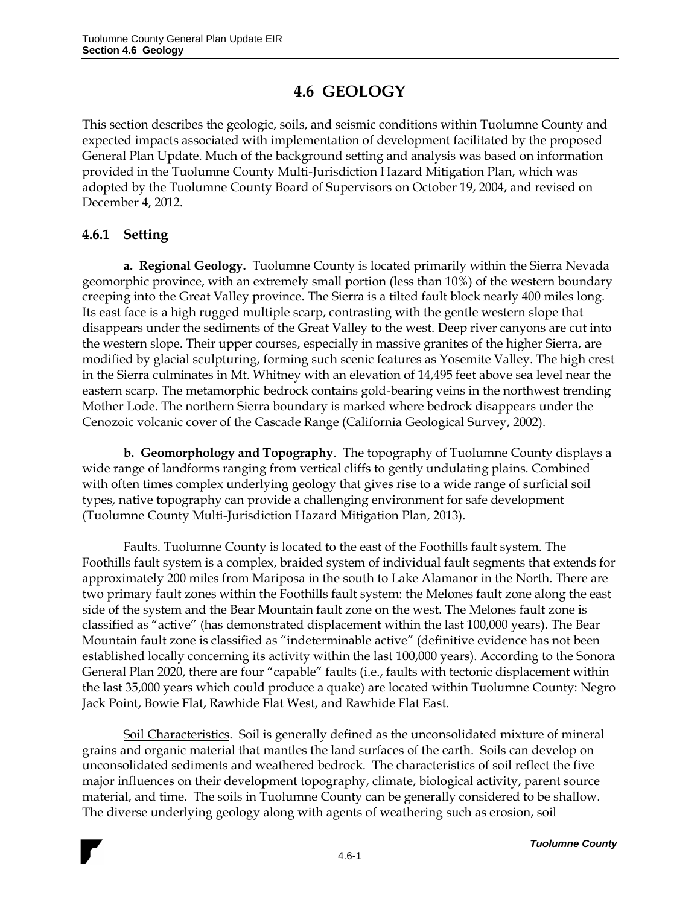## **4.6 GEOLOGY**

This section describes the geologic, soils, and seismic conditions within Tuolumne County and expected impacts associated with implementation of development facilitated by the proposed General Plan Update. Much of the background setting and analysis was based on information provided in the Tuolumne County Multi-Jurisdiction Hazard Mitigation Plan, which was adopted by the Tuolumne County Board of Supervisors on October 19, 2004, and revised on December 4, 2012.

## **4.6.1 Setting**

**a. Regional Geology.** Tuolumne County is located primarily within the Sierra Nevada geomorphic province, with an extremely small portion (less than 10%) of the western boundary creeping into the Great Valley province. The Sierra is a tilted fault block nearly 400 miles long. Its east face is a high rugged multiple scarp, contrasting with the gentle western slope that disappears under the sediments of the Great Valley to the west. Deep river canyons are cut into the western slope. Their upper courses, especially in massive granites of the higher Sierra, are modified by glacial sculpturing, forming such scenic features as Yosemite Valley. The high crest in the Sierra culminates in Mt. Whitney with an elevation of 14,495 feet above sea level near the eastern scarp. The metamorphic bedrock contains gold-bearing veins in the northwest trending Mother Lode. The northern Sierra boundary is marked where bedrock disappears under the Cenozoic volcanic cover of the Cascade Range (California Geological Survey, 2002).

**b. Geomorphology and Topography**. The topography of Tuolumne County displays a wide range of landforms ranging from vertical cliffs to gently undulating plains. Combined with often times complex underlying geology that gives rise to a wide range of surficial soil types, native topography can provide a challenging environment for safe development (Tuolumne County Multi-Jurisdiction Hazard Mitigation Plan, 2013).

Faults. Tuolumne County is located to the east of the Foothills fault system. The Foothills fault system is a complex, braided system of individual fault segments that extends for approximately 200 miles from Mariposa in the south to Lake Alamanor in the North. There are two primary fault zones within the Foothills fault system: the Melones fault zone along the east side of the system and the Bear Mountain fault zone on the west. The Melones fault zone is classified as "active" (has demonstrated displacement within the last 100,000 years). The Bear Mountain fault zone is classified as "indeterminable active" (definitive evidence has not been established locally concerning its activity within the last 100,000 years). According to the Sonora General Plan 2020, there are four "capable" faults (i.e., faults with tectonic displacement within the last 35,000 years which could produce a quake) are located within Tuolumne County: Negro Jack Point, Bowie Flat, Rawhide Flat West, and Rawhide Flat East.

Soil Characteristics.Soil is generally defined as the unconsolidated mixture of mineral grains and organic material that mantles the land surfaces of the earth. Soils can develop on unconsolidated sediments and weathered bedrock. The characteristics of soil reflect the five major influences on their development topography, climate, biological activity, parent source material, and time. The soils in Tuolumne County can be generally considered to be shallow. The diverse underlying geology along with agents of weathering such as erosion, soil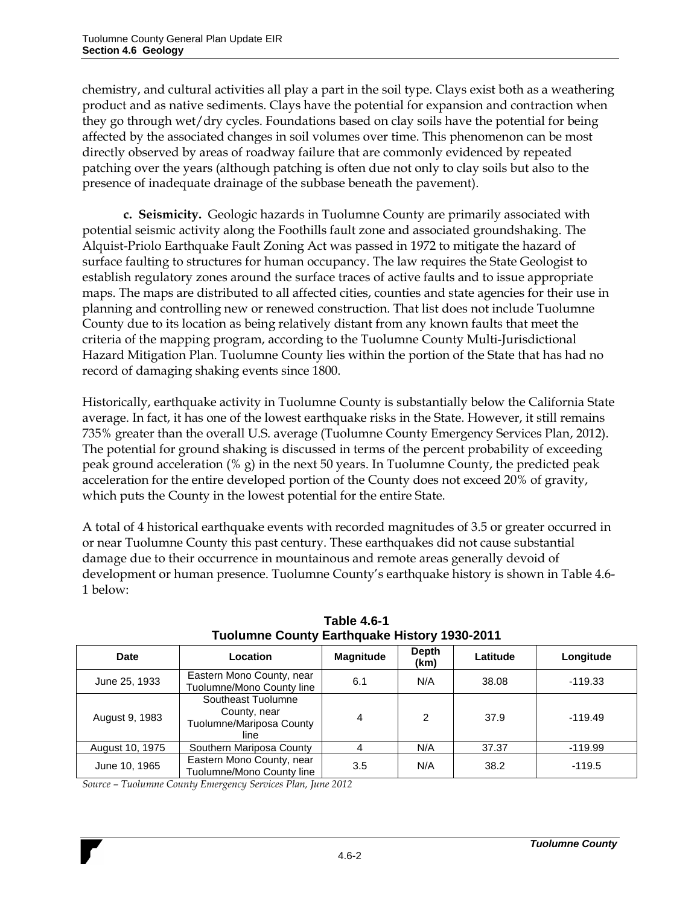chemistry, and cultural activities all play a part in the soil type. Clays exist both as a weathering product and as native sediments. Clays have the potential for expansion and contraction when they go through wet/dry cycles. Foundations based on clay soils have the potential for being affected by the associated changes in soil volumes over time. This phenomenon can be most directly observed by areas of roadway failure that are commonly evidenced by repeated patching over the years (although patching is often due not only to clay soils but also to the presence of inadequate drainage of the subbase beneath the pavement).

**c. Seismicity.** Geologic hazards in Tuolumne County are primarily associated with potential seismic activity along the Foothills fault zone and associated groundshaking. The Alquist-Priolo Earthquake Fault Zoning Act was passed in 1972 to mitigate the hazard of surface faulting to structures for human occupancy. The law requires the State Geologist to establish regulatory zones around the surface traces of active faults and to issue appropriate maps. The maps are distributed to all affected cities, counties and state agencies for their use in planning and controlling new or renewed construction. That list does not include Tuolumne County due to its location as being relatively distant from any known faults that meet the criteria of the mapping program, according to the Tuolumne County Multi-Jurisdictional Hazard Mitigation Plan. Tuolumne County lies within the portion of the State that has had no record of damaging shaking events since 1800.

Historically, earthquake activity in Tuolumne County is substantially below the California State average. In fact, it has one of the lowest earthquake risks in the State. However, it still remains 735% greater than the overall U.S. average (Tuolumne County Emergency Services Plan, 2012). The potential for ground shaking is discussed in terms of the percent probability of exceeding peak ground acceleration (% g) in the next 50 years. In Tuolumne County, the predicted peak acceleration for the entire developed portion of the County does not exceed 20% of gravity, which puts the County in the lowest potential for the entire State.

A total of 4 historical earthquake events with recorded magnitudes of 3.5 or greater occurred in or near Tuolumne County this past century. These earthquakes did not cause substantial damage due to their occurrence in mountainous and remote areas generally devoid of development or human presence. Tuolumne County's earthquake history is shown in Table 4.6- 1 below:

| Date            | Location                                                               | <b>Magnitude</b> | Depth<br>(km) | Latitude | Longitude |
|-----------------|------------------------------------------------------------------------|------------------|---------------|----------|-----------|
| June 25, 1933   | Eastern Mono County, near<br>Tuolumne/Mono County line                 | 6.1              | N/A           | 38.08    | $-119.33$ |
| August 9, 1983  | Southeast Tuolumne<br>County, near<br>Tuolumne/Mariposa County<br>line | 4                | 2             | 37.9     | $-119.49$ |
| August 10, 1975 | Southern Mariposa County                                               |                  | N/A           | 37.37    | $-119.99$ |
| June 10, 1965   | Eastern Mono County, near<br>Tuolumne/Mono County line                 | 3.5              | N/A           | 38.2     | $-119.5$  |

**Table 4.6-1 Tuolumne County Earthquake History 1930-2011**

*Source – Tuolumne County Emergency Services Plan, June 2012*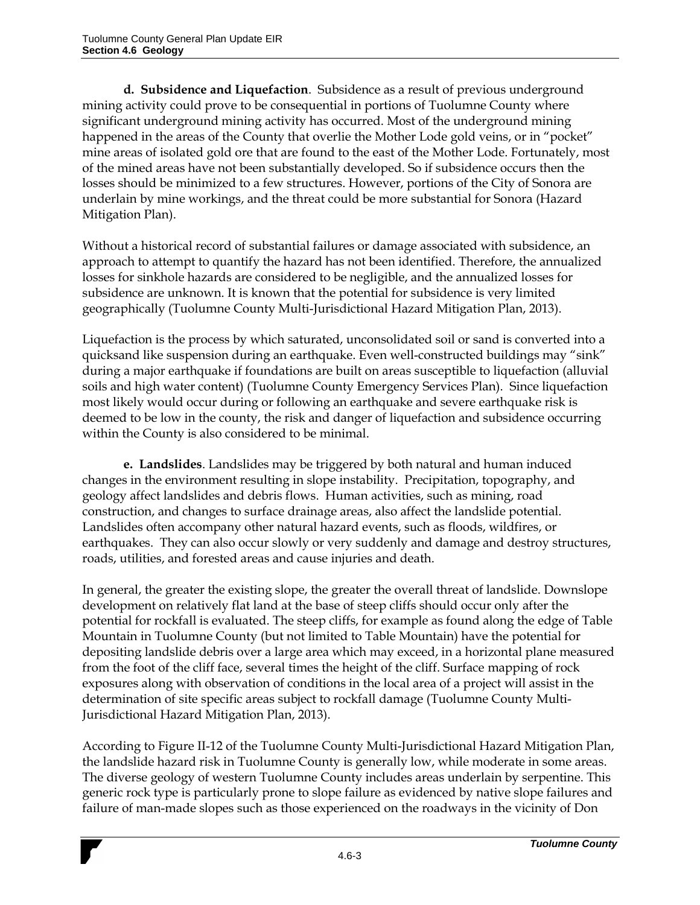**d. Subsidence and Liquefaction**. Subsidence as a result of previous underground mining activity could prove to be consequential in portions of Tuolumne County where significant underground mining activity has occurred. Most of the underground mining happened in the areas of the County that overlie the Mother Lode gold veins, or in "pocket" mine areas of isolated gold ore that are found to the east of the Mother Lode. Fortunately, most of the mined areas have not been substantially developed. So if subsidence occurs then the losses should be minimized to a few structures. However, portions of the City of Sonora are underlain by mine workings, and the threat could be more substantial for Sonora (Hazard Mitigation Plan).

Without a historical record of substantial failures or damage associated with subsidence, an approach to attempt to quantify the hazard has not been identified. Therefore, the annualized losses for sinkhole hazards are considered to be negligible, and the annualized losses for subsidence are unknown. It is known that the potential for subsidence is very limited geographically (Tuolumne County Multi-Jurisdictional Hazard Mitigation Plan, 2013).

Liquefaction is the process by which saturated, unconsolidated soil or sand is converted into a quicksand like suspension during an earthquake. Even well-constructed buildings may "sink" during a major earthquake if foundations are built on areas susceptible to liquefaction (alluvial soils and high water content) (Tuolumne County Emergency Services Plan). Since liquefaction most likely would occur during or following an earthquake and severe earthquake risk is deemed to be low in the county, the risk and danger of liquefaction and subsidence occurring within the County is also considered to be minimal.

**e. Landslides**. Landslides may be triggered by both natural and human induced changes in the environment resulting in slope instability. Precipitation, topography, and geology affect landslides and debris flows. Human activities, such as mining, road construction, and changes to surface drainage areas, also affect the landslide potential. Landslides often accompany other natural hazard events, such as floods, wildfires, or earthquakes. They can also occur slowly or very suddenly and damage and destroy structures, roads, utilities, and forested areas and cause injuries and death.

In general, the greater the existing slope, the greater the overall threat of landslide. Downslope development on relatively flat land at the base of steep cliffs should occur only after the potential for rockfall is evaluated. The steep cliffs, for example as found along the edge of Table Mountain in Tuolumne County (but not limited to Table Mountain) have the potential for depositing landslide debris over a large area which may exceed, in a horizontal plane measured from the foot of the cliff face, several times the height of the cliff. Surface mapping of rock exposures along with observation of conditions in the local area of a project will assist in the determination of site specific areas subject to rockfall damage (Tuolumne County Multi-Jurisdictional Hazard Mitigation Plan, 2013).

According to Figure II-12 of the Tuolumne County Multi-Jurisdictional Hazard Mitigation Plan, the landslide hazard risk in Tuolumne County is generally low, while moderate in some areas. The diverse geology of western Tuolumne County includes areas underlain by serpentine. This generic rock type is particularly prone to slope failure as evidenced by native slope failures and failure of man-made slopes such as those experienced on the roadways in the vicinity of Don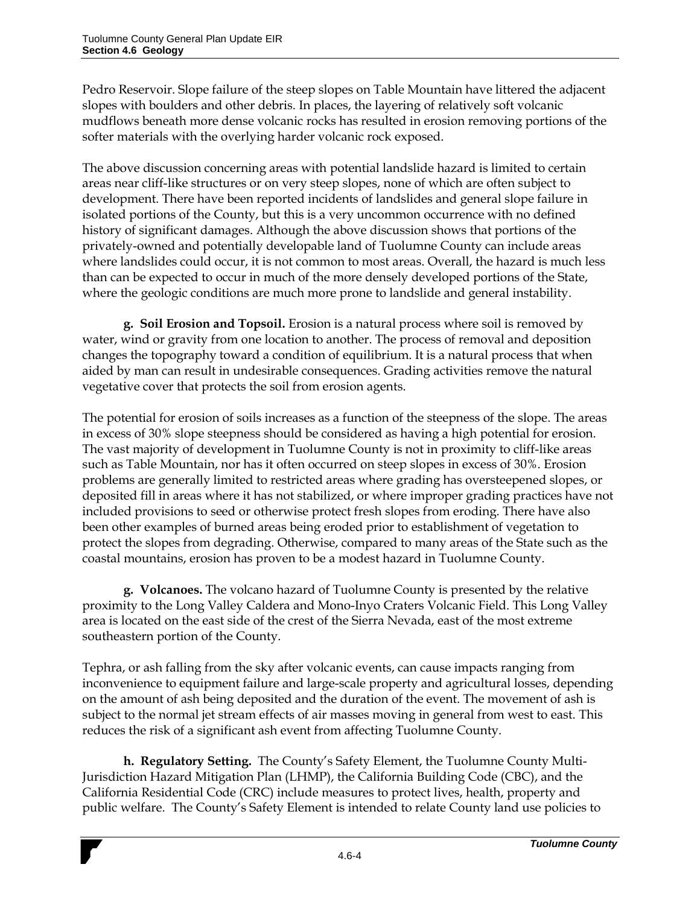Pedro Reservoir. Slope failure of the steep slopes on Table Mountain have littered the adjacent slopes with boulders and other debris. In places, the layering of relatively soft volcanic mudflows beneath more dense volcanic rocks has resulted in erosion removing portions of the softer materials with the overlying harder volcanic rock exposed.

The above discussion concerning areas with potential landslide hazard is limited to certain areas near cliff-like structures or on very steep slopes, none of which are often subject to development. There have been reported incidents of landslides and general slope failure in isolated portions of the County, but this is a very uncommon occurrence with no defined history of significant damages. Although the above discussion shows that portions of the privately-owned and potentially developable land of Tuolumne County can include areas where landslides could occur, it is not common to most areas. Overall, the hazard is much less than can be expected to occur in much of the more densely developed portions of the State, where the geologic conditions are much more prone to landslide and general instability.

**g. Soil Erosion and Topsoil.** Erosion is a natural process where soil is removed by water, wind or gravity from one location to another. The process of removal and deposition changes the topography toward a condition of equilibrium. It is a natural process that when aided by man can result in undesirable consequences. Grading activities remove the natural vegetative cover that protects the soil from erosion agents.

The potential for erosion of soils increases as a function of the steepness of the slope. The areas in excess of 30% slope steepness should be considered as having a high potential for erosion. The vast majority of development in Tuolumne County is not in proximity to cliff-like areas such as Table Mountain, nor has it often occurred on steep slopes in excess of 30%. Erosion problems are generally limited to restricted areas where grading has oversteepened slopes, or deposited fill in areas where it has not stabilized, or where improper grading practices have not included provisions to seed or otherwise protect fresh slopes from eroding. There have also been other examples of burned areas being eroded prior to establishment of vegetation to protect the slopes from degrading. Otherwise, compared to many areas of the State such as the coastal mountains, erosion has proven to be a modest hazard in Tuolumne County.

**g. Volcanoes.** The volcano hazard of Tuolumne County is presented by the relative proximity to the Long Valley Caldera and Mono-Inyo Craters Volcanic Field. This Long Valley area is located on the east side of the crest of the Sierra Nevada, east of the most extreme southeastern portion of the County.

Tephra, or ash falling from the sky after volcanic events, can cause impacts ranging from inconvenience to equipment failure and large-scale property and agricultural losses, depending on the amount of ash being deposited and the duration of the event. The movement of ash is subject to the normal jet stream effects of air masses moving in general from west to east. This reduces the risk of a significant ash event from affecting Tuolumne County.

**h. Regulatory Setting.** The County's Safety Element, the Tuolumne County Multi-Jurisdiction Hazard Mitigation Plan (LHMP), the California Building Code (CBC), and the California Residential Code (CRC) include measures to protect lives, health, property and public welfare. The County's Safety Element is intended to relate County land use policies to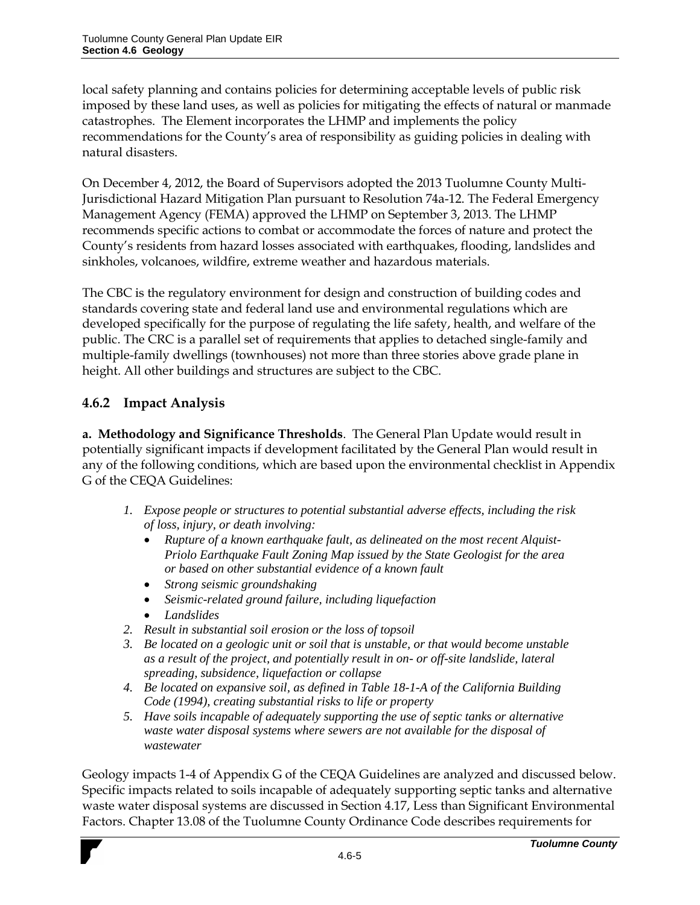local safety planning and contains policies for determining acceptable levels of public risk imposed by these land uses, as well as policies for mitigating the effects of natural or manmade catastrophes. The Element incorporates the LHMP and implements the policy recommendations for the County's area of responsibility as guiding policies in dealing with natural disasters.

On December 4, 2012, the Board of Supervisors adopted the 2013 Tuolumne County Multi-Jurisdictional Hazard Mitigation Plan pursuant to Resolution 74a-12. The Federal Emergency Management Agency (FEMA) approved the LHMP on September 3, 2013. The LHMP recommends specific actions to combat or accommodate the forces of nature and protect the County's residents from hazard losses associated with earthquakes, flooding, landslides and sinkholes, volcanoes, wildfire, extreme weather and hazardous materials.

The CBC is the regulatory environment for design and construction of building codes and standards covering state and federal land use and environmental regulations which are developed specifically for the purpose of regulating the life safety, health, and welfare of the public. The CRC is a parallel set of requirements that applies to detached single-family and multiple-family dwellings (townhouses) not more than three stories above grade plane in height. All other buildings and structures are subject to the CBC.

## **4.6.2 Impact Analysis**

**a. Methodology and Significance Thresholds**. The General Plan Update would result in potentially significant impacts if development facilitated by the General Plan would result in any of the following conditions, which are based upon the environmental checklist in Appendix G of the CEQA Guidelines:

- *1. Expose people or structures to potential substantial adverse effects, including the risk of loss, injury, or death involving:*
	- *Rupture of a known earthquake fault, as delineated on the most recent Alquist-Priolo Earthquake Fault Zoning Map issued by the State Geologist for the area or based on other substantial evidence of a known fault*
	- *Strong seismic groundshaking*
	- *Seismic-related ground failure, including liquefaction*
	- *Landslides*
- *2. Result in substantial soil erosion or the loss of topsoil*
- *3. Be located on a geologic unit or soil that is unstable, or that would become unstable as a result of the project, and potentially result in on- or off-site landslide, lateral spreading, subsidence, liquefaction or collapse*
- *4. Be located on expansive soil, as defined in Table 18-1-A of the California Building Code (1994), creating substantial risks to life or property*
- *5. Have soils incapable of adequately supporting the use of septic tanks or alternative waste water disposal systems where sewers are not available for the disposal of wastewater*

Geology impacts 1-4 of Appendix G of the CEQA Guidelines are analyzed and discussed below. Specific impacts related to soils incapable of adequately supporting septic tanks and alternative waste water disposal systems are discussed in Section 4.17, Less than Significant Environmental Factors. Chapter 13.08 of the Tuolumne County Ordinance Code describes requirements for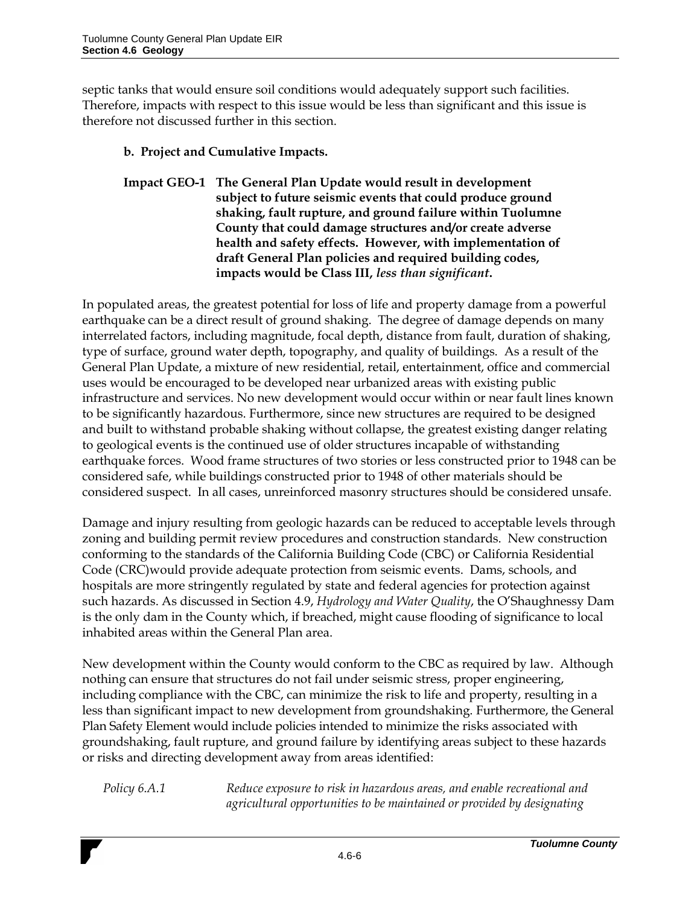septic tanks that would ensure soil conditions would adequately support such facilities. Therefore, impacts with respect to this issue would be less than significant and this issue is therefore not discussed further in this section.

- **b. Project and Cumulative Impacts.**
- **Impact GEO-1 The General Plan Update would result in development subject to future seismic events that could produce ground shaking, fault rupture, and ground failure within Tuolumne County that could damage structures and/or create adverse health and safety effects. However, with implementation of draft General Plan policies and required building codes, impacts would be Class III,** *less than significant***.**

In populated areas, the greatest potential for loss of life and property damage from a powerful earthquake can be a direct result of ground shaking. The degree of damage depends on many interrelated factors, including magnitude, focal depth, distance from fault, duration of shaking, type of surface, ground water depth, topography, and quality of buildings. As a result of the General Plan Update, a mixture of new residential, retail, entertainment, office and commercial uses would be encouraged to be developed near urbanized areas with existing public infrastructure and services. No new development would occur within or near fault lines known to be significantly hazardous. Furthermore, since new structures are required to be designed and built to withstand probable shaking without collapse, the greatest existing danger relating to geological events is the continued use of older structures incapable of withstanding earthquake forces. Wood frame structures of two stories or less constructed prior to 1948 can be considered safe, while buildings constructed prior to 1948 of other materials should be considered suspect. In all cases, unreinforced masonry structures should be considered unsafe.

Damage and injury resulting from geologic hazards can be reduced to acceptable levels through zoning and building permit review procedures and construction standards. New construction conforming to the standards of the California Building Code (CBC) or California Residential Code (CRC)would provide adequate protection from seismic events. Dams, schools, and hospitals are more stringently regulated by state and federal agencies for protection against such hazards. As discussed in Section 4.9, *Hydrology and Water Quality*, the O'Shaughnessy Dam is the only dam in the County which, if breached, might cause flooding of significance to local inhabited areas within the General Plan area.

New development within the County would conform to the CBC as required by law. Although nothing can ensure that structures do not fail under seismic stress, proper engineering, including compliance with the CBC, can minimize the risk to life and property, resulting in a less than significant impact to new development from groundshaking. Furthermore, the General Plan Safety Element would include policies intended to minimize the risks associated with groundshaking, fault rupture, and ground failure by identifying areas subject to these hazards or risks and directing development away from areas identified:

*Policy 6.A.1 Reduce exposure to risk in hazardous areas, and enable recreational and agricultural opportunities to be maintained or provided by designating*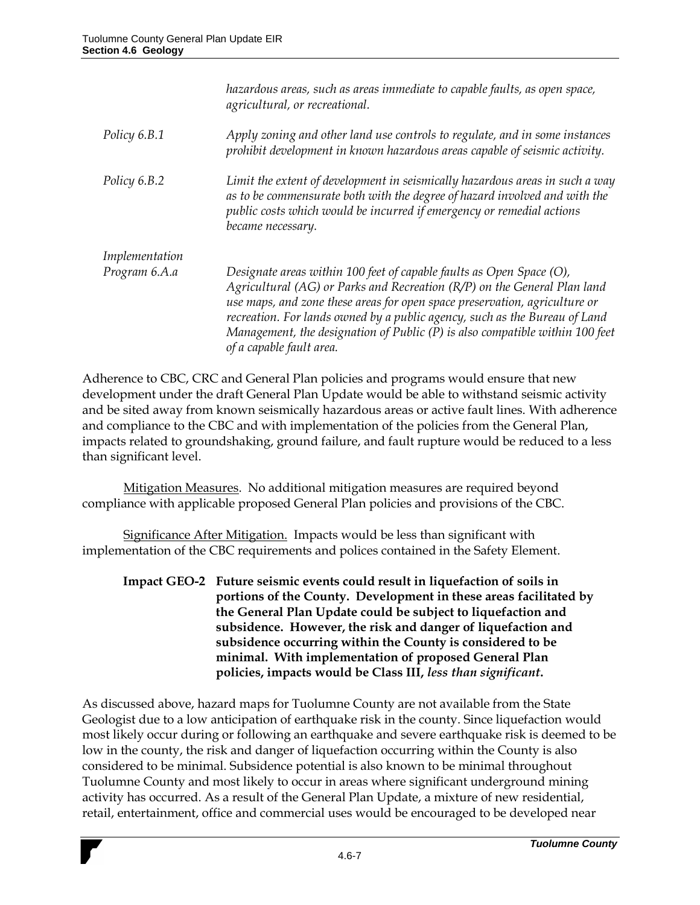|                | hazardous areas, such as areas immediate to capable faults, as open space,<br>agricultural, or recreational.                                                                                                                                                                                                                                                                                                             |
|----------------|--------------------------------------------------------------------------------------------------------------------------------------------------------------------------------------------------------------------------------------------------------------------------------------------------------------------------------------------------------------------------------------------------------------------------|
| Policy 6.B.1   | Apply zoning and other land use controls to regulate, and in some instances<br>prohibit development in known hazardous areas capable of seismic activity.                                                                                                                                                                                                                                                                |
| Policy 6.B.2   | Limit the extent of development in seismically hazardous areas in such a way<br>as to be commensurate both with the degree of hazard involved and with the<br>public costs which would be incurred if emergency or remedial actions<br>became necessary.                                                                                                                                                                 |
| Implementation |                                                                                                                                                                                                                                                                                                                                                                                                                          |
| Program 6.A.a  | Designate areas within 100 feet of capable faults as Open Space (O),<br>Agricultural (AG) or Parks and Recreation (R/P) on the General Plan land<br>use maps, and zone these areas for open space preservation, agriculture or<br>recreation. For lands owned by a public agency, such as the Bureau of Land<br>Management, the designation of Public (P) is also compatible within 100 feet<br>of a capable fault area. |

Adherence to CBC, CRC and General Plan policies and programs would ensure that new development under the draft General Plan Update would be able to withstand seismic activity and be sited away from known seismically hazardous areas or active fault lines. With adherence and compliance to the CBC and with implementation of the policies from the General Plan, impacts related to groundshaking, ground failure, and fault rupture would be reduced to a less than significant level.

Mitigation Measures. No additional mitigation measures are required beyond compliance with applicable proposed General Plan policies and provisions of the CBC.

Significance After Mitigation. Impacts would be less than significant with implementation of the CBC requirements and polices contained in the Safety Element.

**Impact GEO-2 Future seismic events could result in liquefaction of soils in portions of the County. Development in these areas facilitated by the General Plan Update could be subject to liquefaction and subsidence. However, the risk and danger of liquefaction and subsidence occurring within the County is considered to be minimal. With implementation of proposed General Plan policies, impacts would be Class III,** *less than significant***.**

As discussed above, hazard maps for Tuolumne County are not available from the State Geologist due to a low anticipation of earthquake risk in the county. Since liquefaction would most likely occur during or following an earthquake and severe earthquake risk is deemed to be low in the county, the risk and danger of liquefaction occurring within the County is also considered to be minimal. Subsidence potential is also known to be minimal throughout Tuolumne County and most likely to occur in areas where significant underground mining activity has occurred. As a result of the General Plan Update, a mixture of new residential, retail, entertainment, office and commercial uses would be encouraged to be developed near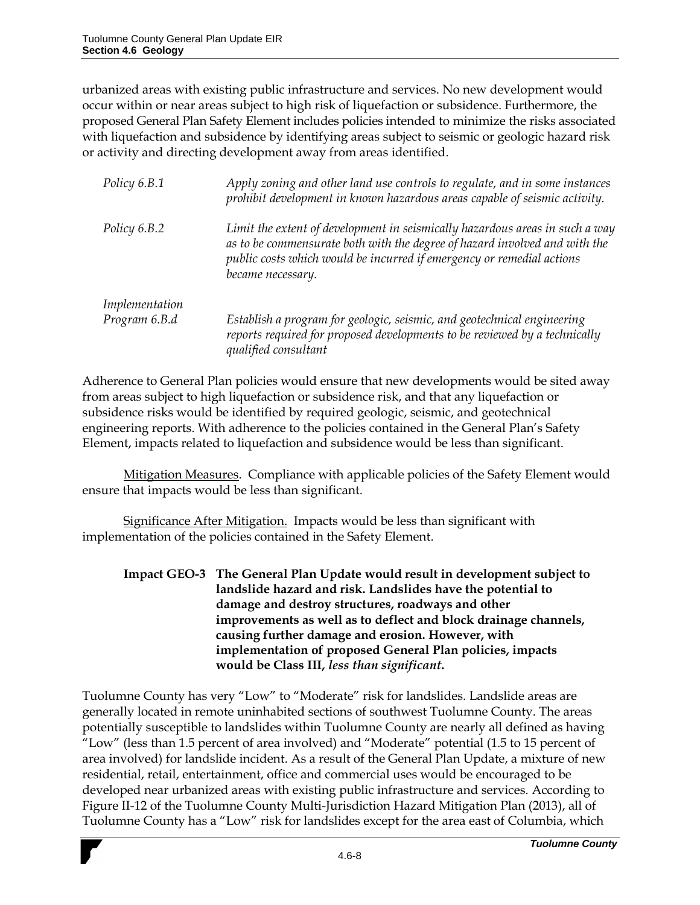urbanized areas with existing public infrastructure and services. No new development would occur within or near areas subject to high risk of liquefaction or subsidence. Furthermore, the proposed General Plan Safety Element includes policies intended to minimize the risks associated with liquefaction and subsidence by identifying areas subject to seismic or geologic hazard risk or activity and directing development away from areas identified.

| Policy 6.B.1   | Apply zoning and other land use controls to regulate, and in some instances<br>prohibit development in known hazardous areas capable of seismic activity.                                                                                                |
|----------------|----------------------------------------------------------------------------------------------------------------------------------------------------------------------------------------------------------------------------------------------------------|
| Policy 6.B.2   | Limit the extent of development in seismically hazardous areas in such a way<br>as to be commensurate both with the degree of hazard involved and with the<br>public costs which would be incurred if emergency or remedial actions<br>became necessary. |
| Implementation |                                                                                                                                                                                                                                                          |
| Program 6.B.d  | Establish a program for geologic, seismic, and geotechnical engineering<br>reports required for proposed developments to be reviewed by a technically<br>qualified consultant                                                                            |

Adherence to General Plan policies would ensure that new developments would be sited away from areas subject to high liquefaction or subsidence risk, and that any liquefaction or subsidence risks would be identified by required geologic, seismic, and geotechnical engineering reports. With adherence to the policies contained in the General Plan's Safety Element, impacts related to liquefaction and subsidence would be less than significant.

**Mitigation Measures.** Compliance with applicable policies of the Safety Element would ensure that impacts would be less than significant.

Significance After Mitigation. Impacts would be less than significant with implementation of the policies contained in the Safety Element.

**Impact GEO-3 The General Plan Update would result in development subject to landslide hazard and risk. Landslides have the potential to damage and destroy structures, roadways and other improvements as well as to deflect and block drainage channels, causing further damage and erosion. However, with implementation of proposed General Plan policies, impacts would be Class III,** *less than significant***.**

Tuolumne County has very "Low" to "Moderate" risk for landslides. Landslide areas are generally located in remote uninhabited sections of southwest Tuolumne County. The areas potentially susceptible to landslides within Tuolumne County are nearly all defined as having "Low" (less than 1.5 percent of area involved) and "Moderate" potential (1.5 to 15 percent of area involved) for landslide incident. As a result of the General Plan Update, a mixture of new residential, retail, entertainment, office and commercial uses would be encouraged to be developed near urbanized areas with existing public infrastructure and services. According to Figure II-12 of the Tuolumne County Multi-Jurisdiction Hazard Mitigation Plan (2013), all of Tuolumne County has a "Low" risk for landslides except for the area east of Columbia, which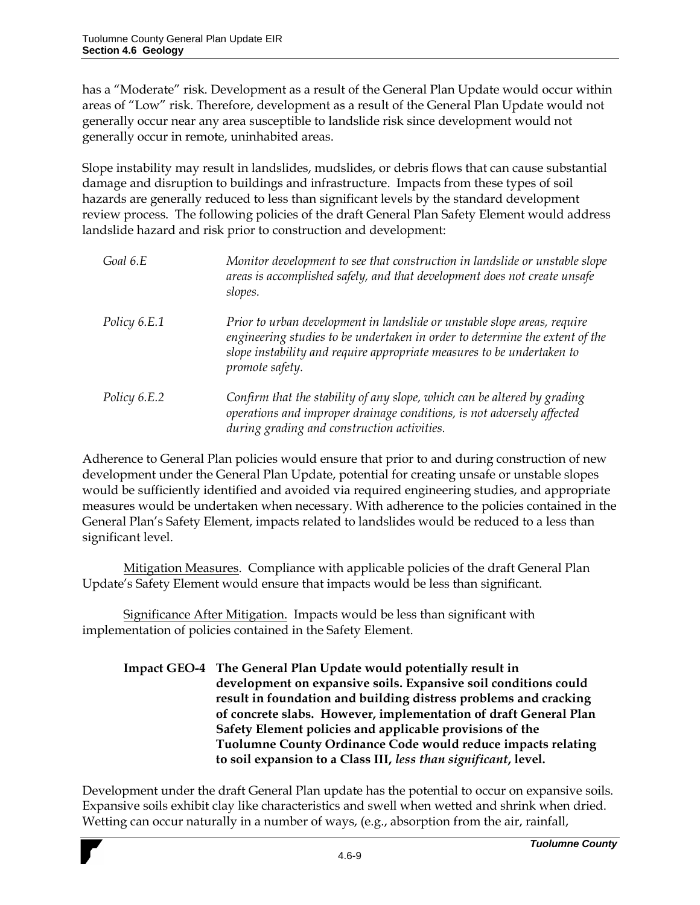has a "Moderate" risk. Development as a result of the General Plan Update would occur within areas of "Low" risk. Therefore, development as a result of the General Plan Update would not generally occur near any area susceptible to landslide risk since development would not generally occur in remote, uninhabited areas.

Slope instability may result in landslides, mudslides, or debris flows that can cause substantial damage and disruption to buildings and infrastructure. Impacts from these types of soil hazards are generally reduced to less than significant levels by the standard development review process. The following policies of the draft General Plan Safety Element would address landslide hazard and risk prior to construction and development:

| Goal 6.E            | Monitor development to see that construction in landslide or unstable slope<br>areas is accomplished safely, and that development does not create unsafe<br>slopes.                                                                                   |
|---------------------|-------------------------------------------------------------------------------------------------------------------------------------------------------------------------------------------------------------------------------------------------------|
| <i>Policy 6.E.1</i> | Prior to urban development in landslide or unstable slope areas, require<br>engineering studies to be undertaken in order to determine the extent of the<br>slope instability and require appropriate measures to be undertaken to<br>promote safety. |
| <i>Policy 6.E.2</i> | Confirm that the stability of any slope, which can be altered by grading<br>operations and improper drainage conditions, is not adversely affected<br>during grading and construction activities.                                                     |

Adherence to General Plan policies would ensure that prior to and during construction of new development under the General Plan Update, potential for creating unsafe or unstable slopes would be sufficiently identified and avoided via required engineering studies, and appropriate measures would be undertaken when necessary. With adherence to the policies contained in the General Plan's Safety Element, impacts related to landslides would be reduced to a less than significant level.

Mitigation Measures. Compliance with applicable policies of the draft General Plan Update's Safety Element would ensure that impacts would be less than significant.

Significance After Mitigation. Impacts would be less than significant with implementation of policies contained in the Safety Element.

**Impact GEO-4 The General Plan Update would potentially result in development on expansive soils. Expansive soil conditions could result in foundation and building distress problems and cracking of concrete slabs. However, implementation of draft General Plan Safety Element policies and applicable provisions of the Tuolumne County Ordinance Code would reduce impacts relating to soil expansion to a Class III,** *less than significant***, level.**

Development under the draft General Plan update has the potential to occur on expansive soils. Expansive soils exhibit clay like characteristics and swell when wetted and shrink when dried. Wetting can occur naturally in a number of ways, (e.g., absorption from the air, rainfall,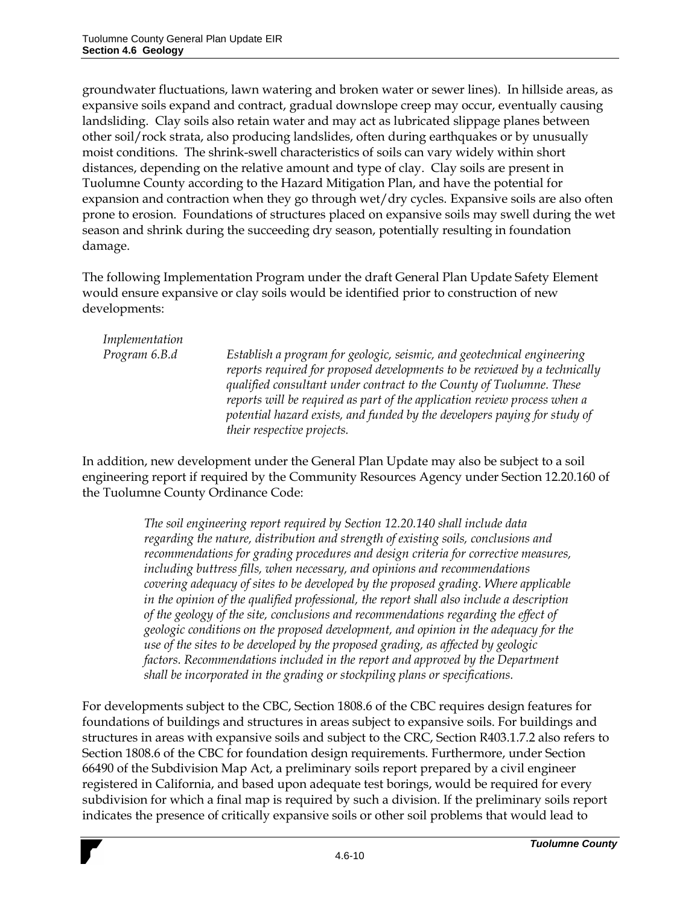groundwater fluctuations, lawn watering and broken water or sewer lines). In hillside areas, as expansive soils expand and contract, gradual downslope creep may occur, eventually causing landsliding. Clay soils also retain water and may act as lubricated slippage planes between other soil/rock strata, also producing landslides, often during earthquakes or by unusually moist conditions. The shrink-swell characteristics of soils can vary widely within short distances, depending on the relative amount and type of clay. Clay soils are present in Tuolumne County according to the Hazard Mitigation Plan, and have the potential for expansion and contraction when they go through wet/dry cycles. Expansive soils are also often prone to erosion. Foundations of structures placed on expansive soils may swell during the wet season and shrink during the succeeding dry season, potentially resulting in foundation damage.

The following Implementation Program under the draft General Plan Update Safety Element would ensure expansive or clay soils would be identified prior to construction of new developments:

*Implementation*

*Program 6.B.d Establish a program for geologic, seismic, and geotechnical engineering reports required for proposed developments to be reviewed by a technically qualified consultant under contract to the County of Tuolumne. These reports will be required as part of the application review process when a potential hazard exists, and funded by the developers paying for study of their respective projects.* 

In addition, new development under the General Plan Update may also be subject to a soil engineering report if required by the Community Resources Agency under Section 12.20.160 of the Tuolumne County Ordinance Code:

> *The soil engineering report required by Section 12.20.140 shall include data regarding the nature, distribution and strength of existing soils, conclusions and recommendations for grading procedures and design criteria for corrective measures, including buttress fills, when necessary, and opinions and recommendations covering adequacy of sites to be developed by the proposed grading. Where applicable in the opinion of the qualified professional, the report shall also include a description of the geology of the site, conclusions and recommendations regarding the effect of geologic conditions on the proposed development, and opinion in the adequacy for the use of the sites to be developed by the proposed grading, as affected by geologic factors. Recommendations included in the report and approved by the Department shall be incorporated in the grading or stockpiling plans or specifications.*

For developments subject to the CBC, Section 1808.6 of the CBC requires design features for foundations of buildings and structures in areas subject to expansive soils. For buildings and structures in areas with expansive soils and subject to the CRC, Section R403.1.7.2 also refers to Section 1808.6 of the CBC for foundation design requirements. Furthermore, under Section 66490 of the Subdivision Map Act, a preliminary soils report prepared by a civil engineer registered in California, and based upon adequate test borings, would be required for every subdivision for which a final map is required by such a division. If the preliminary soils report indicates the presence of critically expansive soils or other soil problems that would lead to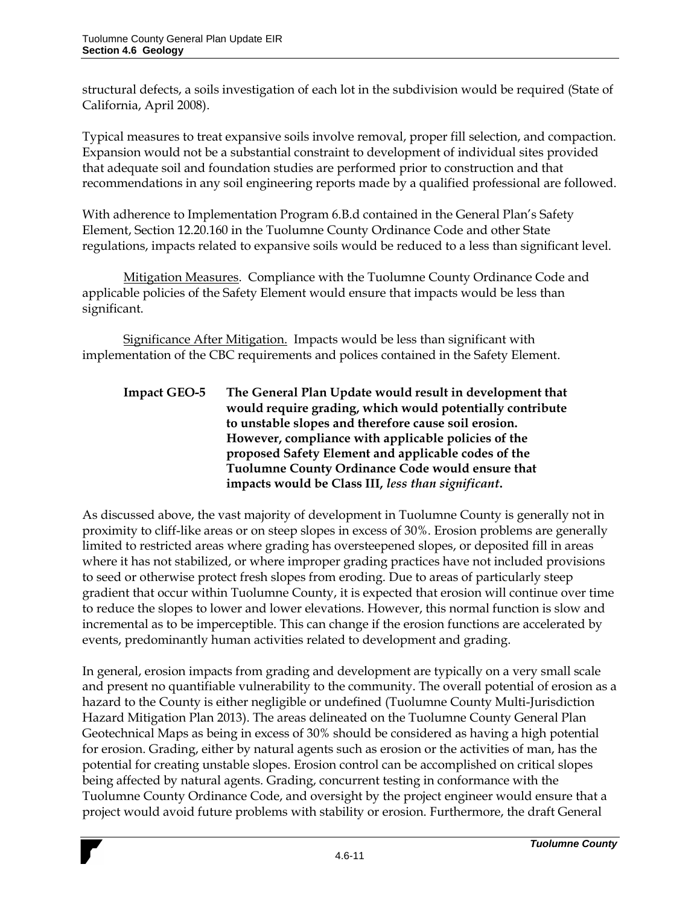structural defects, a soils investigation of each lot in the subdivision would be required (State of California, April 2008).

Typical measures to treat expansive soils involve removal, proper fill selection, and compaction. Expansion would not be a substantial constraint to development of individual sites provided that adequate soil and foundation studies are performed prior to construction and that recommendations in any soil engineering reports made by a qualified professional are followed.

With adherence to Implementation Program 6.B.d contained in the General Plan's Safety Element, Section 12.20.160 in the Tuolumne County Ordinance Code and other State regulations, impacts related to expansive soils would be reduced to a less than significant level.

Mitigation Measures. Compliance with the Tuolumne County Ordinance Code and applicable policies of the Safety Element would ensure that impacts would be less than significant.

Significance After Mitigation. Impacts would be less than significant with implementation of the CBC requirements and polices contained in the Safety Element.

## **Impact GEO-5 The General Plan Update would result in development that would require grading, which would potentially contribute to unstable slopes and therefore cause soil erosion. However, compliance with applicable policies of the proposed Safety Element and applicable codes of the Tuolumne County Ordinance Code would ensure that impacts would be Class III,** *less than significant***.**

As discussed above, the vast majority of development in Tuolumne County is generally not in proximity to cliff-like areas or on steep slopes in excess of 30%. Erosion problems are generally limited to restricted areas where grading has oversteepened slopes, or deposited fill in areas where it has not stabilized, or where improper grading practices have not included provisions to seed or otherwise protect fresh slopes from eroding. Due to areas of particularly steep gradient that occur within Tuolumne County, it is expected that erosion will continue over time to reduce the slopes to lower and lower elevations. However, this normal function is slow and incremental as to be imperceptible. This can change if the erosion functions are accelerated by events, predominantly human activities related to development and grading.

In general, erosion impacts from grading and development are typically on a very small scale and present no quantifiable vulnerability to the community. The overall potential of erosion as a hazard to the County is either negligible or undefined (Tuolumne County Multi-Jurisdiction Hazard Mitigation Plan 2013). The areas delineated on the Tuolumne County General Plan Geotechnical Maps as being in excess of 30% should be considered as having a high potential for erosion. Grading, either by natural agents such as erosion or the activities of man, has the potential for creating unstable slopes. Erosion control can be accomplished on critical slopes being affected by natural agents. Grading, concurrent testing in conformance with the Tuolumne County Ordinance Code, and oversight by the project engineer would ensure that a project would avoid future problems with stability or erosion. Furthermore, the draft General